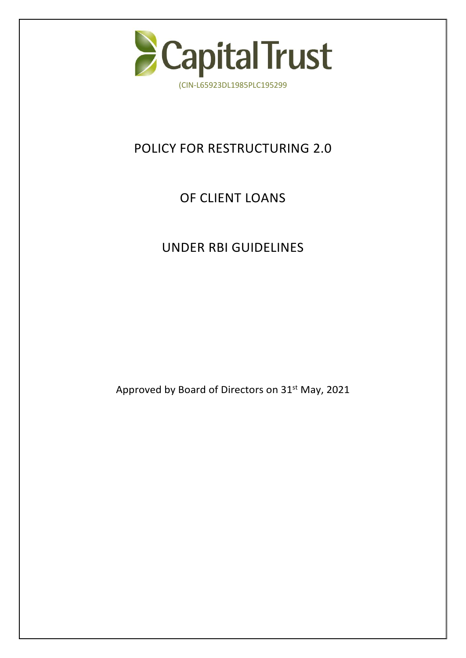

# POLICY FOR RESTRUCTURING 2.0

# OF CLIENT LOANS

## UNDER RBI GUIDELINES

Approved by Board of Directors on 31<sup>st</sup> May, 2021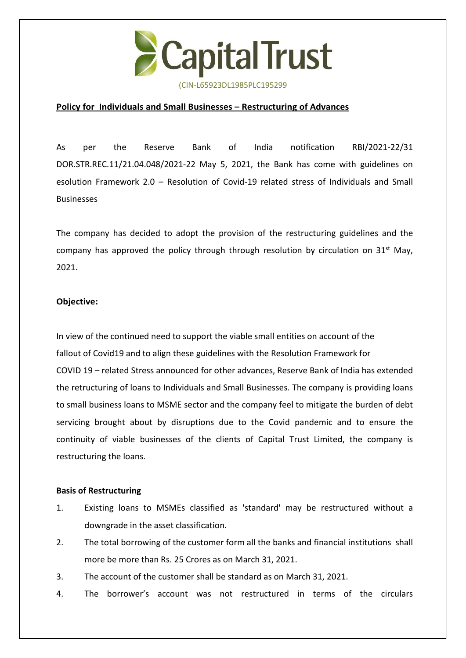

#### **Policy for Individuals and Small Businesses – Restructuring of Advances**

As per the Reserve Bank of India notification RBI/2021-22/31 DOR.STR.REC.11/21.04.048/2021-22 May 5, 2021, the Bank has come with guidelines on esolution Framework 2.0 – Resolution of Covid-19 related stress of Individuals and Small Businesses

The company has decided to adopt the provision of the restructuring guidelines and the company has approved the policy through through resolution by circulation on 31<sup>st</sup> May,  $\|\cdot\|$ 2021.

#### **Objective:**

In view of the continued need to support the viable small entities on account of the fallout of Covid19 and to align these guidelines with the Resolution Framework for COVID 19 – related Stress announced for other advances, Reserve Bank of India has extended the retructuring of loans to Individuals and Small Businesses. The company is providing loans to small business loans to MSME sector and the company feel to mitigate the burden of debt servicing brought about by disruptions due to the Covid pandemic and to ensure the continuity of viable businesses of the clients of Capital Trust Limited, the company is restructuring the loans.

#### **Basis of Restructuring**

- 1. Existing loans to MSMEs classified as 'standard' may be restructured without a downgrade in the asset classification.
- 2. The total borrowing of the customer form all the banks and financial institutions shall more be more than Rs. 25 Crores as on March 31, 2021.
- 3. The account of the customer shall be standard as on March 31, 2021.
- 4. The borrower's account was not restructured in terms of the circulars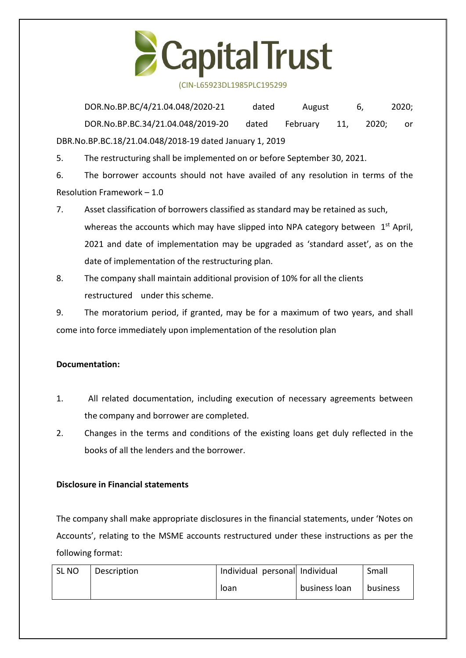

(CIN-L65923DL1985PLC195299

DOR.No.BP.BC/4/21.04.048/2020-21 dated August 6, 2020; DOR.No.BP.BC.34/21.04.048/2019-20 dated February 11, 2020; or DBR.No.BP.BC.18/21.04.048/2018-19 dated January 1, 2019

5. The restructuring shall be implemented on or before September 30, 2021.

6. The borrower accounts should not have availed of any resolution in terms of the Resolution Framework – 1.0

- 7. Asset classification of borrowers classified as standard may be retained as such, whereas the accounts which may have slipped into NPA category between  $1<sup>st</sup>$  April,  $\|\cdot\|$ 2021 and date of implementation may be upgraded as 'standard asset', as on the date of implementation of the restructuring plan.
- 8. The company shall maintain additional provision of 10% for all theclients restructured under this scheme.

9. The moratorium period, if granted, may be for a maximum of two years, and shall come into force immediately upon implementation of the resolution plan

### **Documentation:**

- 1. All related documentation, including execution of necessary agreements between the company and borrower are completed.
- 2. Changes in the terms and conditions of the existing loans get duly reflected in the books of all the lenders and the borrower.

### **Disclosure in Financial statements**

The company shall make appropriate disclosures in the financial statements, under 'Notes on Accounts', relating to the MSME accounts restructured under these instructions as per the following format:

| SL NO | Description | Individual personal Individual |               | Small    |
|-------|-------------|--------------------------------|---------------|----------|
|       |             | Toan                           | business loan | business |